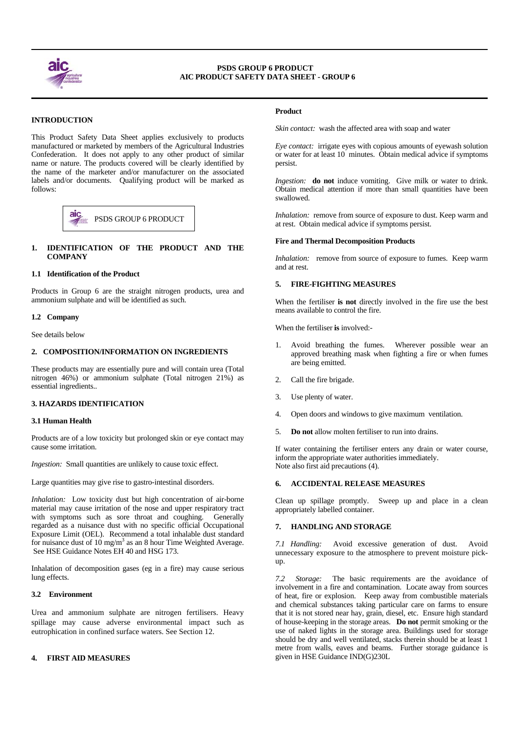

 $\overline{a}$ 

 $\overline{a}$ 

# **PSDS GROUP 6 PRODUCT AIC PRODUCT SAFETY DATA SHEET - GROUP 6**

# **INTRODUCTION**

This Product Safety Data Sheet applies exclusively to products manufactured or marketed by members of the Agricultural Industries Confederation. It does not apply to any other product of similar name or nature. The products covered will be clearly identified by the name of the marketer and/or manufacturer on the associated labels and/or documents. Qualifying product will be marked as follows:



# **1. IDENTIFICATION OF THE PRODUCT AND THE COMPANY**

## **1.1 Identification of the Product**

Products in Group 6 are the straight nitrogen products, urea and ammonium sulphate and will be identified as such.

#### **1.2 Company**

See details below

## **2. COMPOSITION/INFORMATION ON INGREDIENTS**

These products may are essentially pure and will contain urea (Total nitrogen 46%) or ammonium sulphate (Total nitrogen 21%) as essential ingredients..

## **3. HAZARDS IDENTIFICATION**

#### **3.1 Human Health**

Products are of a low toxicity but prolonged skin or eye contact may cause some irritation.

*Ingestion:* Small quantities are unlikely to cause toxic effect.

Large quantities may give rise to gastro-intestinal disorders.

*Inhalation:* Low toxicity dust but high concentration of air-borne material may cause irritation of the nose and upper respiratory tract with symptoms such as sore throat and coughing. Generally regarded as a nuisance dust with no specific official Occupational Exposure Limit (OEL). Recommend a total inhalable dust standard for nuisance dust of  $10 \text{ mg/m}^3$  as an 8 hour Time Weighted Average. See HSE Guidance Notes EH 40 and HSG 173.

Inhalation of decomposition gases (eg in a fire) may cause serious lung effects.

## **3.2 Environment**

Urea and ammonium sulphate are nitrogen fertilisers. Heavy spillage may cause adverse environmental impact such as eutrophication in confined surface waters. See Section 12.

# **4. FIRST AID MEASURES**

## **Product**

*Skin contact:* wash the affected area with soap and water

*Eye contact:* irrigate eyes with copious amounts of eyewash solution or water for at least 10 minutes. Obtain medical advice if symptoms persist.

*Ingestion:* **do not** induce vomiting. Give milk or water to drink. Obtain medical attention if more than small quantities have been swallowed.

*Inhalation:* remove from source of exposure to dust. Keep warm and **Example 1** PSDS GROUP 6 PRODUCT **at rest.** Obtain medical advice if symptoms persist.

#### **Fire and Thermal Decomposition Products**

*Inhalation:* remove from source of exposure to fumes. Keep warm and at rest.

#### **5. FIRE-FIGHTING MEASURES**

When the fertiliser **is not** directly involved in the fire use the best means available to control the fire.

When the fertiliser **is** involved:-

- 1. Avoid breathing the fumes. Wherever possible wear an approved breathing mask when fighting a fire or when fumes are being emitted.
- 2. Call the fire brigade.
- 3. Use plenty of water.
- 4. Open doors and windows to give maximum ventilation.
- 5. **Do not** allow molten fertiliser to run into drains.

If water containing the fertiliser enters any drain or water course, inform the appropriate water authorities immediately. Note also first aid precautions (4).

#### **6. ACCIDENTAL RELEASE MEASURES**

Clean up spillage promptly. Sweep up and place in a clean appropriately labelled container.

#### **7. HANDLING AND STORAGE**

*7.1 Handling:* Avoid excessive generation of dust. Avoid unnecessary exposure to the atmosphere to prevent moisture pickup.

*7.2 Storage:* The basic requirements are the avoidance of involvement in a fire and contamination. Locate away from sources of heat, fire or explosion. Keep away from combustible materials and chemical substances taking particular care on farms to ensure that it is not stored near hay, grain, diesel, etc. Ensure high standard of house-keeping in the storage areas. **Do not** permit smoking or the use of naked lights in the storage area. Buildings used for storage should be dry and well ventilated, stacks therein should be at least 1 metre from walls, eaves and beams. Further storage guidance is given in HSE Guidance IND(G)230L